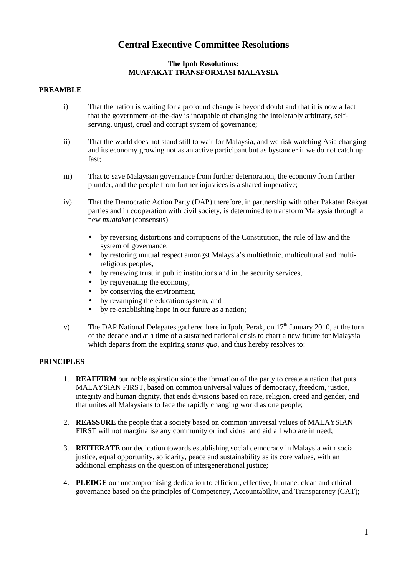# **Central Executive Committee Resolutions**

# **The Ipoh Resolutions: MUAFAKAT TRANSFORMASI MALAYSIA**

#### **PREAMBLE**

- i) That the nation is waiting for a profound change is beyond doubt and that it is now a fact that the government-of-the-day is incapable of changing the intolerably arbitrary, selfserving, unjust, cruel and corrupt system of governance;
- ii) That the world does not stand still to wait for Malaysia, and we risk watching Asia changing and its economy growing not as an active participant but as bystander if we do not catch up fast;
- iii) That to save Malaysian governance from further deterioration, the economy from further plunder, and the people from further injustices is a shared imperative;
- iv) That the Democratic Action Party (DAP) therefore, in partnership with other Pakatan Rakyat parties and in cooperation with civil society, is determined to transform Malaysia through a new *muafakat* (consensus)
	- by reversing distortions and corruptions of the Constitution, the rule of law and the system of governance,
	- by restoring mutual respect amongst Malaysia's multiethnic, multicultural and multireligious peoples,
	- by renewing trust in public institutions and in the security services,
	- by rejuvenating the economy,
	- by conserving the environment,
	- by revamping the education system, and
	- by re-establishing hope in our future as a nation;
- v) The DAP National Delegates gathered here in Ipoh, Perak, on  $17<sup>th</sup>$  January 2010, at the turn of the decade and at a time of a sustained national crisis to chart a new future for Malaysia which departs from the expiring *status quo*, and thus hereby resolves to:

#### **PRINCIPLES**

- 1. **REAFFIRM** our noble aspiration since the formation of the party to create a nation that puts MALAYSIAN FIRST, based on common universal values of democracy, freedom, justice, integrity and human dignity, that ends divisions based on race, religion, creed and gender, and that unites all Malaysians to face the rapidly changing world as one people;
- 2. **REASSURE** the people that a society based on common universal values of MALAYSIAN FIRST will not marginalise any community or individual and aid all who are in need;
- 3. **REITERATE** our dedication towards establishing social democracy in Malaysia with social justice, equal opportunity, solidarity, peace and sustainability as its core values, with an additional emphasis on the question of intergenerational justice;
- 4. **PLEDGE** our uncompromising dedication to efficient, effective, humane, clean and ethical governance based on the principles of Competency, Accountability, and Transparency (CAT);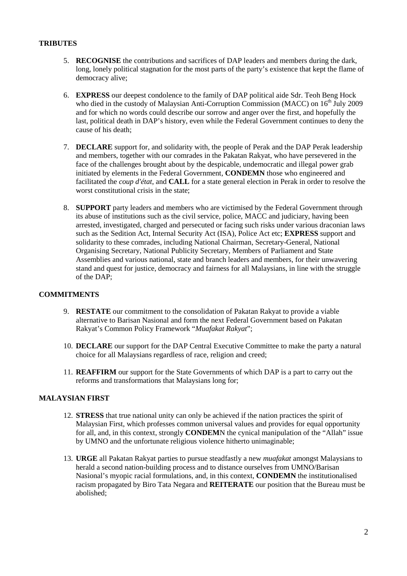#### **TRIBUTES**

- 5. **RECOGNISE** the contributions and sacrifices of DAP leaders and members during the dark, long, lonely political stagnation for the most parts of the party's existence that kept the flame of democracy alive;
- 6. **EXPRESS** our deepest condolence to the family of DAP political aide Sdr. Teoh Beng Hock who died in the custody of Malaysian Anti-Corruption Commission (MACC) on  $16<sup>th</sup>$  July 2009 and for which no words could describe our sorrow and anger over the first, and hopefully the last, political death in DAP's history, even while the Federal Government continues to deny the cause of his death;
- 7. **DECLARE** support for, and solidarity with, the people of Perak and the DAP Perak leadership and members, together with our comrades in the Pakatan Rakyat, who have persevered in the face of the challenges brought about by the despicable, undemocratic and illegal power grab initiated by elements in the Federal Government, **CONDEMN** those who engineered and facilitated the *coup d'état*, and **CALL** for a state general election in Perak in order to resolve the worst constitutional crisis in the state;
- 8. **SUPPORT** party leaders and members who are victimised by the Federal Government through its abuse of institutions such as the civil service, police, MACC and judiciary, having been arrested, investigated, charged and persecuted or facing such risks under various draconian laws such as the Sedition Act, Internal Security Act (ISA), Police Act etc; **EXPRESS** support and solidarity to these comrades, including National Chairman, Secretary-General, National Organising Secretary, National Publicity Secretary, Members of Parliament and State Assemblies and various national, state and branch leaders and members, for their unwavering stand and quest for justice, democracy and fairness for all Malaysians, in line with the struggle of the DAP;

# **COMMITMENTS**

- 9. **RESTATE** our commitment to the consolidation of Pakatan Rakyat to provide a viable alternative to Barisan Nasional and form the next Federal Government based on Pakatan Rakyat's Common Policy Framework "*Muafakat Rakyat*";
- 10. **DECLARE** our support for the DAP Central Executive Committee to make the party a natural choice for all Malaysians regardless of race, religion and creed;
- 11. **REAFFIRM** our support for the State Governments of which DAP is a part to carry out the reforms and transformations that Malaysians long for;

# **MALAYSIAN FIRST**

- 12. **STRESS** that true national unity can only be achieved if the nation practices the spirit of Malaysian First, which professes common universal values and provides for equal opportunity for all, and, in this context, strongly **CONDEM**N the cynical manipulation of the "Allah" issue by UMNO and the unfortunate religious violence hitherto unimaginable;
- 13. **URGE** all Pakatan Rakyat parties to pursue steadfastly a new *muafakat* amongst Malaysians to herald a second nation-building process and to distance ourselves from UMNO/Barisan Nasional's myopic racial formulations, and, in this context, **CONDEMN** the institutionalised racism propagated by Biro Tata Negara and **REITERATE** our position that the Bureau must be abolished;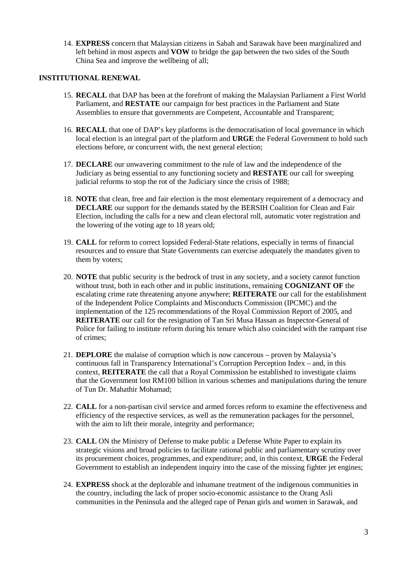14. **EXPRESS** concern that Malaysian citizens in Sabah and Sarawak have been marginalized and left behind in most aspects and **VOW** to bridge the gap between the two sides of the South China Sea and improve the wellbeing of all;

#### **INSTITUTIONAL RENEWAL**

- 15. **RECALL** that DAP has been at the forefront of making the Malaysian Parliament a First World Parliament, and **RESTATE** our campaign for best practices in the Parliament and State Assemblies to ensure that governments are Competent, Accountable and Transparent;
- 16. **RECALL** that one of DAP's key platforms is the democratisation of local governance in which local election is an integral part of the platform and **URGE** the Federal Government to hold such elections before, or concurrent with, the next general election;
- 17. **DECLARE** our unwavering commitment to the rule of law and the independence of the Judiciary as being essential to any functioning society and **RESTATE** our call for sweeping judicial reforms to stop the rot of the Judiciary since the crisis of 1988;
- 18. **NOTE** that clean, free and fair election is the most elementary requirement of a democracy and **DECLARE** our support for the demands stated by the BERSIH Coalition for Clean and Fair Election, including the calls for a new and clean electoral roll, automatic voter registration and the lowering of the voting age to 18 years old;
- 19. **CALL** for reform to correct lopsided Federal-State relations, especially in terms of financial resources and to ensure that State Governments can exercise adequately the mandates given to them by voters;
- 20. **NOTE** that public security is the bedrock of trust in any society, and a society cannot function without trust, both in each other and in public institutions, remaining **COGNIZANT OF** the escalating crime rate threatening anyone anywhere; **REITERATE** our call for the establishment of the Independent Police Complaints and Misconducts Commission (IPCMC) and the implementation of the 125 recommendations of the Royal Commission Report of 2005, and **REITERATE** our call for the resignation of Tan Sri Musa Hassan as Inspector-General of Police for failing to institute reform during his tenure which also coincided with the rampant rise of crimes;
- 21. **DEPLORE** the malaise of corruption which is now cancerous proven by Malaysia's continuous fall in Transparency International's Corruption Perception Index – and, in this context, **REITERATE** the call that a Royal Commission be established to investigate claims that the Government lost RM100 billion in various schemes and manipulations during the tenure of Tun Dr. Mahathir Mohamad;
- 22. **CALL** for a non-partisan civil service and armed forces reform to examine the effectiveness and efficiency of the respective services, as well as the remuneration packages for the personnel, with the aim to lift their morale, integrity and performance:
- 23. **CALL** ON the Ministry of Defense to make public a Defense White Paper to explain its strategic visions and broad policies to facilitate rational public and parliamentary scrutiny over its procurement choices, programmes, and expenditure; and, in this context, **URGE** the Federal Government to establish an independent inquiry into the case of the missing fighter jet engines;
- 24. **EXPRESS** shock at the deplorable and inhumane treatment of the indigenous communities in the country, including the lack of proper socio-economic assistance to the Orang Asli communities in the Peninsula and the alleged rape of Penan girls and women in Sarawak, and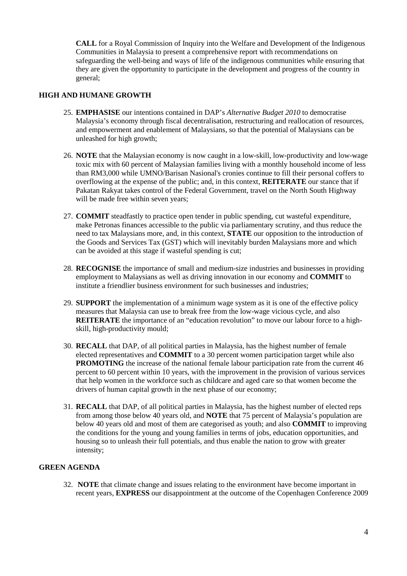**CALL** for a Royal Commission of Inquiry into the Welfare and Development of the Indigenous Communities in Malaysia to present a comprehensive report with recommendations on safeguarding the well-being and ways of life of the indigenous communities while ensuring that they are given the opportunity to participate in the development and progress of the country in general;

### **HIGH AND HUMANE GROWTH**

- 25. **EMPHASISE** our intentions contained in DAP's *Alternative Budget 2010* to democratise Malaysia's economy through fiscal decentralisation, restructuring and reallocation of resources, and empowerment and enablement of Malaysians, so that the potential of Malaysians can be unleashed for high growth;
- 26. **NOTE** that the Malaysian economy is now caught in a low-skill, low-productivity and low-wage toxic mix with 60 percent of Malaysian families living with a monthly household income of less than RM3,000 while UMNO/Barisan Nasional's cronies continue to fill their personal coffers to overflowing at the expense of the public; and, in this context, **REITERATE** our stance that if Pakatan Rakyat takes control of the Federal Government, travel on the North South Highway will be made free within seven years;
- 27. **COMMIT** steadfastly to practice open tender in public spending, cut wasteful expenditure, make Petronas finances accessible to the public via parliamentary scrutiny, and thus reduce the need to tax Malaysians more, and, in this context, **STATE** our opposition to the introduction of the Goods and Services Tax (GST) which will inevitably burden Malaysians more and which can be avoided at this stage if wasteful spending is cut;
- 28. **RECOGNISE** the importance of small and medium-size industries and businesses in providing employment to Malaysians as well as driving innovation in our economy and **COMMIT** to institute a friendlier business environment for such businesses and industries;
- 29. **SUPPORT** the implementation of a minimum wage system as it is one of the effective policy measures that Malaysia can use to break free from the low-wage vicious cycle, and also **REITERATE** the importance of an "education revolution" to move our labour force to a highskill, high-productivity mould;
- 30. **RECALL** that DAP, of all political parties in Malaysia, has the highest number of female elected representatives and **COMMIT** to a 30 percent women participation target while also **PROMOTING** the increase of the national female labour participation rate from the current 46 percent to 60 percent within 10 years, with the improvement in the provision of various services that help women in the workforce such as childcare and aged care so that women become the drivers of human capital growth in the next phase of our economy;
- 31. **RECALL** that DAP, of all political parties in Malaysia, has the highest number of elected reps from among those below 40 years old, and **NOTE** that 75 percent of Malaysia's population are below 40 years old and most of them are categorised as youth; and also **COMMIT** to improving the conditions for the young and young families in terms of jobs, education opportunities, and housing so to unleash their full potentials, and thus enable the nation to grow with greater intensity;

# **GREEN AGENDA**

32. **NOTE** that climate change and issues relating to the environment have become important in recent years, **EXPRESS** our disappointment at the outcome of the Copenhagen Conference 2009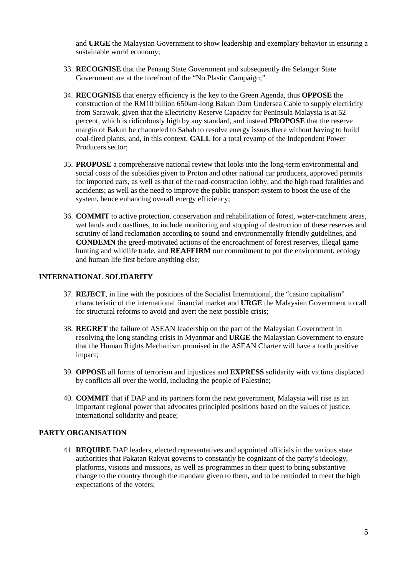and **URGE** the Malaysian Government to show leadership and exemplary behavior in ensuring a sustainable world economy;

- 33. **RECOGNISE** that the Penang State Government and subsequently the Selangor State Government are at the forefront of the "No Plastic Campaign;"
- 34. **RECOGNISE** that energy efficiency is the key to the Green Agenda, thus **OPPOSE** the construction of the RM10 billion 650km-long Bakun Dam Undersea Cable to supply electricity from Sarawak, given that the Electricity Reserve Capacity for Peninsula Malaysia is at 52 percent, which is ridiculously high by any standard, and instead **PROPOSE** that the reserve margin of Bakun be channeled to Sabah to resolve energy issues there without having to build coal-fired plants, and, in this context, **CALL** for a total revamp of the Independent Power Producers sector;
- 35. **PROPOSE** a comprehensive national review that looks into the long-term environmental and social costs of the subsidies given to Proton and other national car producers, approved permits for imported cars, as well as that of the road-construction lobby, and the high road fatalities and accidents; as well as the need to improve the public transport system to boost the use of the system, hence enhancing overall energy efficiency;
- 36. **COMMIT** to active protection, conservation and rehabilitation of forest, water-catchment areas, wet lands and coastlines, to include monitoring and stopping of destruction of these reserves and scrutiny of land reclamation according to sound and environmentally friendly guidelines, and **CONDEMN** the greed-motivated actions of the encroachment of forest reserves, illegal game hunting and wildlife trade, and **REAFFIRM** our commitment to put the environment, ecology and human life first before anything else;

#### **INTERNATIONAL SOLIDARITY**

- 37. **REJECT**, in line with the positions of the Socialist International, the "casino capitalism" characteristic of the international financial market and **URGE** the Malaysian Government to call for structural reforms to avoid and avert the next possible crisis;
- 38. **REGRET** the failure of ASEAN leadership on the part of the Malaysian Government in resolving the long standing crisis in Myanmar and **URGE** the Malaysian Government to ensure that the Human Rights Mechanism promised in the ASEAN Charter will have a forth positive impact;
- 39. **OPPOSE** all forms of terrorism and injustices and **EXPRESS** solidarity with victims displaced by conflicts all over the world, including the people of Palestine;
- 40. **COMMIT** that if DAP and its partners form the next government, Malaysia will rise as an important regional power that advocates principled positions based on the values of justice, international solidarity and peace;

# **PARTY ORGANISATION**

41. **REQUIRE** DAP leaders, elected representatives and appointed officials in the various state authorities that Pakatan Rakyat governs to constantly be cognizant of the party's ideology, platforms, visions and missions, as well as programmes in their quest to bring substantive change to the country through the mandate given to them, and to be reminded to meet the high expectations of the voters;